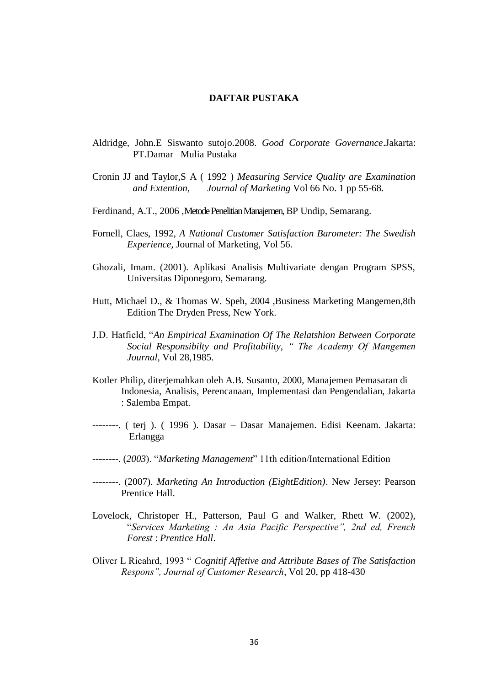## **DAFTAR PUSTAKA**

- Aldridge, John.E Siswanto sutojo.2008. *Good Corporate Governance*.Jakarta: PT.Damar Mulia Pustaka
- Cronin JJ and Taylor,S A ( 1992 ) *Measuring Service Quality are Examination and Extention, Journal of Marketing* Vol 66 No. 1 pp 55-68.
- Ferdinand, A.T., 2006, Metode Penelitian Manajemen, BP Undip, Semarang.
- Fornell, Claes, 1992, *A National Customer Satisfaction Barometer: The Swedish Experience,* Journal of Marketing, Vol 56.
- Ghozali, Imam. (2001). Aplikasi Analisis Multivariate dengan Program SPSS, Universitas Diponegoro, Semarang.
- Hutt, Michael D., & Thomas W. Speh, 2004 ,Business Marketing Mangemen,8th Edition The Dryden Press, New York.
- J.D. Hatfield, "*An Empirical Examination Of The Relatshion Between Corporate Social Responsibilty and Profitability, " The Academy Of Mangemen Journal,* Vol 28,1985.
- Kotler Philip, diterjemahkan oleh A.B. Susanto, 2000, Manajemen Pemasaran di Indonesia, Analisis, Perencanaan, Implementasi dan Pengendalian, Jakarta : Salemba Empat.
- --------. ( terj ). ( 1996 ). Dasar Dasar Manajemen. Edisi Keenam. Jakarta: Erlangga
- --------. (*2003*). "*Marketing Management*" 11th edition/International Edition
- --------. (2007). *Marketing An Introduction (EightEdition)*. New Jersey: Pearson Prentice Hall.
- Lovelock, Christoper H., Patterson, Paul G and Walker, Rhett W. (2002), "*Services Marketing : An Asia Pacific Perspective", 2nd ed, French Forest* : *Prentice Hall*.
- Oliver L Ricahrd, 1993 " *Cognitif Affetive and Attribute Bases of The Satisfaction Respons", Journal of Customer Research*, Vol 20, pp 418-430